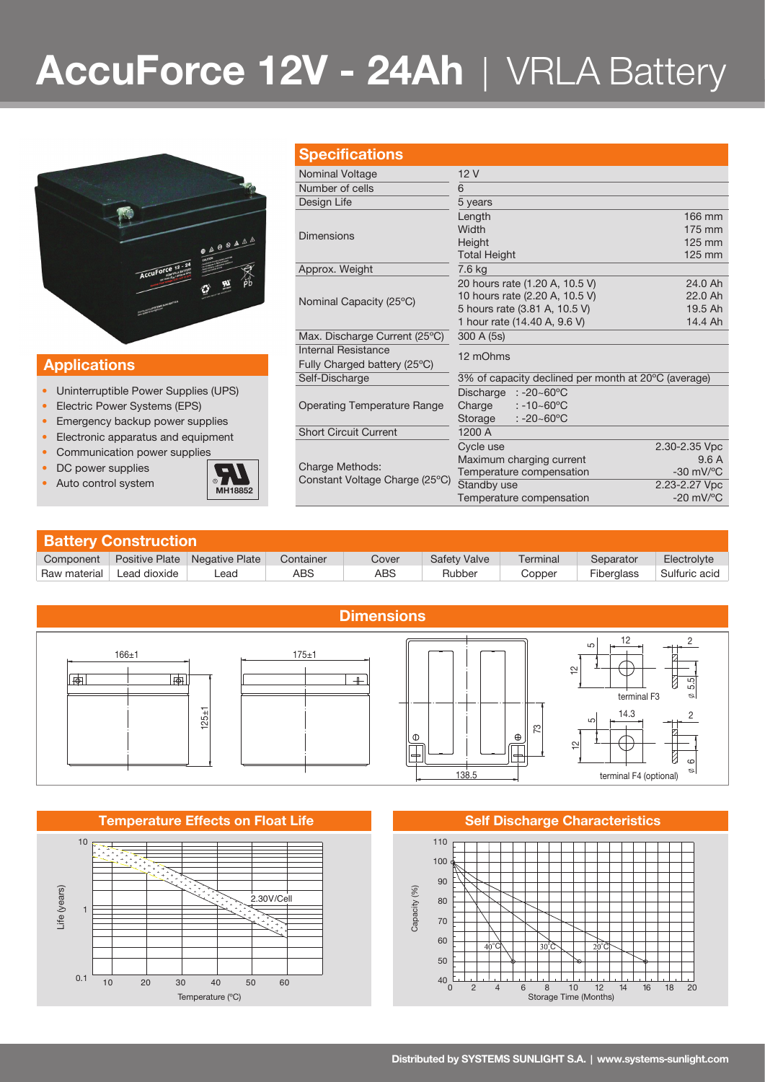# **AccuForce 12V - 24Ah** | VRLA Battery



### **Applications**

- Uninterruptible Power Supplies (UPS)
- Electric Power Systems (EPS)
- Emergency backup power supplies
- Electronic apparatus and equipment
- Communication power supplies
- DC power supplies
- 



|  | <b>Specifications</b>          |                                                                                                                                                                                                                                                                                                                                      |                                |  |
|--|--------------------------------|--------------------------------------------------------------------------------------------------------------------------------------------------------------------------------------------------------------------------------------------------------------------------------------------------------------------------------------|--------------------------------|--|
|  | Nominal Voltage                | 12V                                                                                                                                                                                                                                                                                                                                  |                                |  |
|  | Number of cells                | 6                                                                                                                                                                                                                                                                                                                                    |                                |  |
|  | Design Life                    | 5 years                                                                                                                                                                                                                                                                                                                              |                                |  |
|  |                                | Length                                                                                                                                                                                                                                                                                                                               | 166 mm                         |  |
|  | <b>Dimensions</b>              | Width                                                                                                                                                                                                                                                                                                                                | $175 \text{ mm}$               |  |
|  |                                | Height                                                                                                                                                                                                                                                                                                                               | $125$ mm                       |  |
|  |                                | <b>Total Height</b>                                                                                                                                                                                                                                                                                                                  | $125$ mm                       |  |
|  | Approx. Weight                 | 7.6 kg                                                                                                                                                                                                                                                                                                                               |                                |  |
|  |                                | 20 hours rate (1.20 A, 10.5 V)                                                                                                                                                                                                                                                                                                       | 24.0 Ah                        |  |
|  | Nominal Capacity (25°C)        | 10 hours rate (2.20 A, 10.5 V)<br>5 hours rate (3.81 A, 10.5 V)<br>1 hour rate (14.40 A, 9.6 V)<br>300 A (5s)<br>12 mOhms<br>Discharge $: -20 - 60^{\circ}$ C<br>$: -10 - 60^{\circ}$ C<br>Charge<br>$: -20 - 60^{\circ}$ C<br>Storage<br>1200 A<br>Cycle use<br>Maximum charging current<br>Temperature compensation<br>Standby use | 22.0 Ah                        |  |
|  |                                |                                                                                                                                                                                                                                                                                                                                      | 19.5 Ah                        |  |
|  |                                |                                                                                                                                                                                                                                                                                                                                      | 14.4 Ah                        |  |
|  | Max. Discharge Current (25°C)  |                                                                                                                                                                                                                                                                                                                                      |                                |  |
|  | Internal Resistance            |                                                                                                                                                                                                                                                                                                                                      |                                |  |
|  | Fully Charged battery (25°C)   |                                                                                                                                                                                                                                                                                                                                      |                                |  |
|  | Self-Discharge                 | 3% of capacity declined per month at 20°C (average)                                                                                                                                                                                                                                                                                  |                                |  |
|  |                                |                                                                                                                                                                                                                                                                                                                                      |                                |  |
|  | Operating Temperature Range    |                                                                                                                                                                                                                                                                                                                                      |                                |  |
|  |                                |                                                                                                                                                                                                                                                                                                                                      |                                |  |
|  | <b>Short Circuit Current</b>   |                                                                                                                                                                                                                                                                                                                                      |                                |  |
|  |                                |                                                                                                                                                                                                                                                                                                                                      | 2.30-2.35 Vpc                  |  |
|  | Charge Methods:                |                                                                                                                                                                                                                                                                                                                                      | 9.6A                           |  |
|  | Constant Voltage Charge (25°C) |                                                                                                                                                                                                                                                                                                                                      | $-30$ mV/ $\mathrm{^{\circ}C}$ |  |
|  |                                |                                                                                                                                                                                                                                                                                                                                      | 2.23-2.27 Vpc                  |  |

| <b>Battery Construction</b> |              |                                 |           |            |              |          |            |               |  |  |  |
|-----------------------------|--------------|---------------------------------|-----------|------------|--------------|----------|------------|---------------|--|--|--|
| Component                   |              | Positive Plate   Negative Plate | Container | Cover      | Safety Valve | Terminal | Separator  | Electrolyte   |  |  |  |
| Raw material                | Lead dioxide | _ead                            | ABS       | <b>ABS</b> | Rubber       | Copper   | Fiberglass | Sulfuric acid |  |  |  |



### **Temperature Effects on Float Life <b>Self Discharge Characteristics Self Discharge Characteristics**



Temperature compensation -20 mV/°C